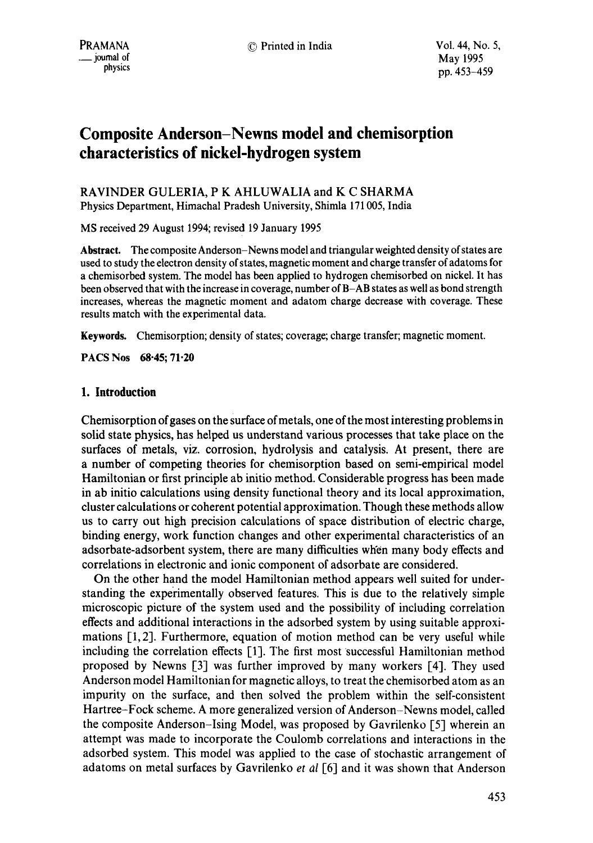# **Composite Anderson-Newns model and chemisorption characteristics of nickel-hydrogen system**

## RAVINDER GULERIA, P K AHLUWALIA and K C SHARMA Physics Department, Himachal Pradesh University, Shimla 171005, India

MS received 29 August 1994; revised 19 January 1995

**Abstract.** The composite Anderson-Newns model and triangular weighted density of states are used to study the electron density of states, magnetic moment and charge transfer of adatoms for a chemisorbed system. The model has been applied to hydrogen chemisorbed on nickel. It has been observed that with the increase in coverage, number of B-AB states as well as bond strength increases, whereas the magnetic moment and adatom charge decrease with coverage. **These**  results match with the experimental data.

**Keywords.** Chemisorption; density of states; coverage; charge transfer; magnetic moment.

**PACS Nos 68.45; 71.20** 

# **1. Introduction**

Chemisorption of gases on the Surface of metals, one of the most interesting problems in solid state physics, has helped us understand various processes that take place on the surfaces of metals, viz. corrosion, hydrolysis and catalysis. At present, there are a number of competing theories for chemisorption based on semi-empirical model Hamiltonian or first principle ab initio method. Considerable progress has been made in ab initio calculations using density functional theory and its local approximation, cluster calculations or coherent potential approximation. Though these methods allow us to carry out high precision calculations of space distribution of electric charge, binding energy, work function changes and other experimental characteristics of an adsorbate-adsorbent system, there are many difficulties when many body effects and correlations in electronic and ionic component of adsorbate are considered.

On the other hand the model Hamiltonian method appears well suited for understanding the experimentally observed features. This is due to the relatively simple microscopic picture of the system used and the possibility of including correlation effects and additional interactions in the adsorbed system by using suitable approximations [1,2]. Furthermore, equation of motion method can be very useful while including the correlation effects [1]. The first most successful Hamiltonian method proposed by Newns [3] was further improved by many workers [4]. They used Anderson model Hamiltonian for magnetic alloys, to treat the chemisorbed atom as an impurity on the surface, and then solved the problem within the self-consistent Hartree-Fock scheme. A more generalized version of Anderson-Newns model, called the composite Anderson-Ising Model, was proposed by Gavrilenko [5] wherein an attempt was made to incorporate the Coulomb correlations and interactions in the adsorbed system. This model was applied to the case of stochastic arrangement of adatoms on metal surfaces by Gavrilenko *et al* [6] and it was shown that Anderson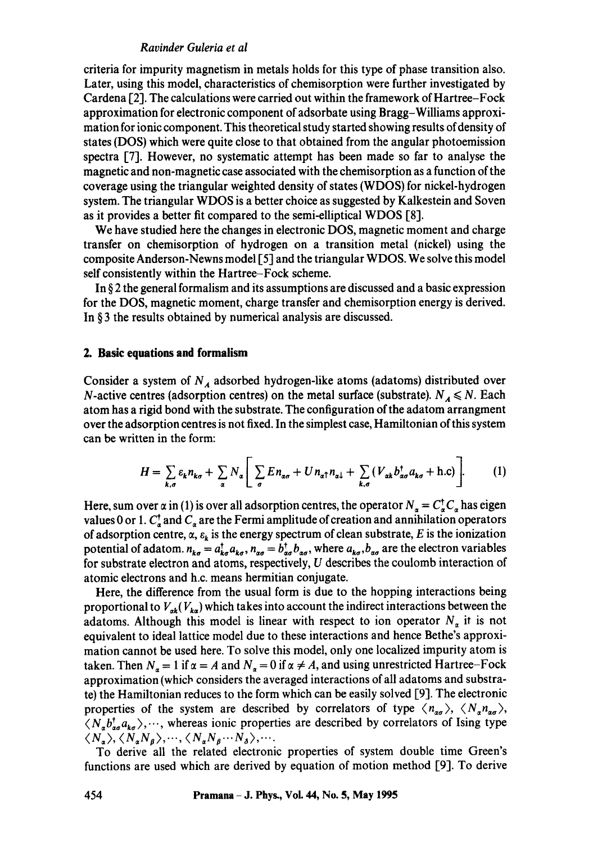## *Ravinder Guleria et al*

criteria for impurity magnetism in metals holds for this type of phase transition also. Later, using this model, characteristics of chemisorption were further investigated by Cardena [2]. The calculations were carried out within the framework of Hartree-Fock approximation for electronic component of adsorbate using Bragg-Williams approximation for ionic component. This theoretical study started showing results of density of states (DOS) which were quite close to that obtained from the angular photoemission spectra [7]. However, no systematic attempt has been made so far to analyse the magnetic and non-magnetic case associated with the chemisorption as a function of the coverage using the triangular weighted density of states (WDOS) for nickel-hydrogen system. The triangular WDOS is a better choice as suggested by Kalkestein and Soven as it provides a better fit compared to the semi-elliptical WDOS [8].

We have studied here the changes in electronic DOS, magnetic moment and charge transfer on chemisorption of hydrogen on a transition metal (nickel) using the composite Anderson-Newns model 15] and the triangular WDOS. We solve this model self consistently within the Hartree-Fock scheme.

In § 2 the general formalism and its assumptions are discussed and a basic expression for the DOS, magnetic moment, charge transfer and chemisorption energy is derived. In § 3 the results obtained by numerical analysis are discussed.

#### **2. Basic equations and formalism**

Consider a system of  $N_A$  adsorbed hydrogen-like atoms (adatoms) distributed over N-active centres (adsorption centres) on the metal surface (substrate).  $N_A \le N$ . Each atom has a rigid bond with the substrate. The configuration of the adatom arrangment over the adsorption centres is not fixed. In the simplest case, Hamiltonian of this system can be written in the form:

$$
H = \sum_{k,\sigma} \varepsilon_k n_{k\sigma} + \sum_{\alpha} N_{\alpha} \Bigg[ \sum_{\sigma} E n_{\alpha\sigma} + U n_{\alpha\uparrow} n_{\alpha\downarrow} + \sum_{k,\sigma} (V_{\alpha k} b_{\alpha\sigma}^{\dagger} a_{k\sigma} + \text{h.c}) \Bigg]. \tag{1}
$$

Here, sum over  $\alpha$  in (1) is over all adsorption centres, the operator  $N_a = C_a^{\dagger} C_a$  has eigen values 0 or 1.  $C_{\sigma}^{\dagger}$  and  $C_{\sigma}$  are the Fermi amplitude of creation and annihilation operators of adsorption centre,  $\alpha$ ,  $\varepsilon_k$  is the energy spectrum of clean substrate, E is the ionization potential of adatom.  $n_{k\sigma} = a_{k\sigma}^{\dagger} a_{k\sigma}$ ,  $n_{\alpha\sigma} = b_{\alpha\sigma}^{\dagger} b_{\alpha\sigma}$ , where  $a_{k\sigma}$ ,  $b_{\alpha\sigma}$  are the electron variables for substrate electron and atoms, respectively, U describes the coulomb interaction of atomic electrons and h.c. means hermitian conjugate.

Here, the difference from the usual form is due to the hopping interactions being proportional to  $V_{ak}(V_{ka})$  which takes into account the indirect interactions between the adatoms. Although this model is linear with respect to ion operator  $N_a$  it is not equivalent to ideal lattice model due to these interactions and hence Bethe's approximation cannot be used here. To solve this model, only one localized impurity atom is taken. Then  $N_a = 1$  if  $\alpha = A$  and  $N_a = 0$  if  $\alpha \neq A$ , and using unrestricted Hartree-Fock approximation (which considers the averaged interactions of all adatoms and substrate) the Hamiltonian reduces to the form which can be easily solved [9]. The electronic properties of the system are described by correlators of type  $\langle n_{\alpha\alpha} \rangle$ ,  $\langle N_{\alpha} n_{\alpha\alpha} \rangle$ ,  $\langle N_a b_{a\sigma}^\dagger a_{k\sigma} \rangle$ ,..., whereas ionic properties are described by correlators of Ising type  $\langle N_{\alpha}\rangle$ ,  $\langle N_{\alpha}N_{\beta}\rangle$ ,  $\cdots$ ,  $\langle N_{\alpha}N_{\beta}\cdots N_{\delta}\rangle$ ,  $\cdots$ .

To derive all the related electronic properties of system double time Green's functions are used which are derived by equation of motion method [9]. To derive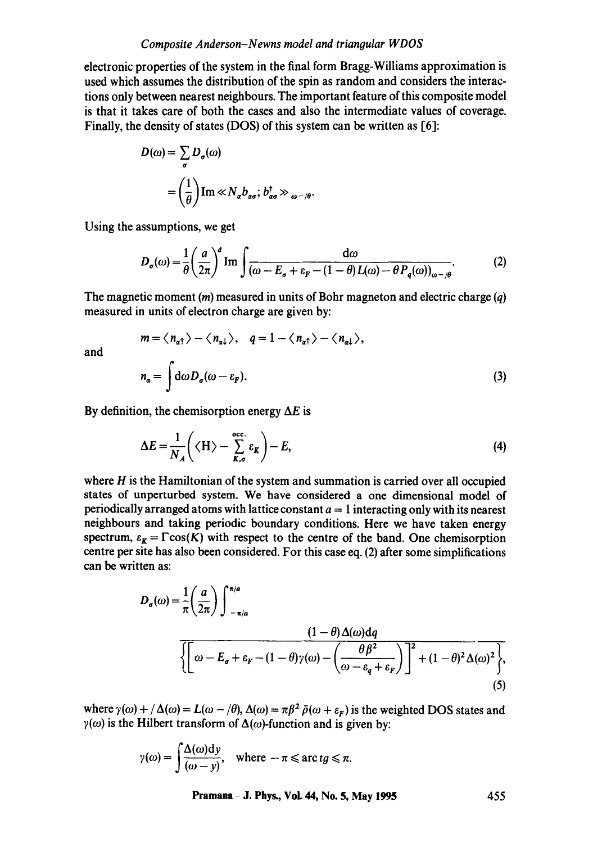## *Composite Anderson-N ewns model and triangular WDOS*

electronic properties of the system in the final form Bragg-Williams approximation is used which assumes the distribution of the spin as random and considers the interactions only between nearest neighbours. The important feature of this composite model is that it takes care of both the cases and also the intermediate values of coverage. Finally, the density of states (DOS) of this system can be written as [6]:

$$
D(\omega) = \sum_{\sigma} D_{\sigma}(\omega)
$$
  
=  $\left(\frac{1}{\theta}\right)$  Im  $\ll N_{\alpha} b_{\alpha\sigma}$ ;  $b_{\alpha\sigma}^{\dagger} \gg_{\omega - \theta}$ 

Using the assumptions, we get

$$
D_{\sigma}(\omega) = \frac{1}{\theta} \left(\frac{a}{2\pi}\right)^{d} \operatorname{Im} \int \frac{d\omega}{(\omega - E_{\sigma} + \varepsilon_{F} - (1 - \theta)L(\omega) - \theta P_{q}(\omega))_{\omega - \theta}}.
$$
 (2)

The magnetic moment (*m*) measured in units of Bohr magneton and electric charge (*q*) measured in units of electron charge are given by:

 $m = \langle n_{\alpha\uparrow} \rangle - \langle n_{\alpha\downarrow} \rangle$ ,  $q = 1 - \langle n_{\alpha\uparrow} \rangle - \langle n_{\alpha\downarrow} \rangle$ ,

**and** 

$$
n_{\alpha} = \int d\omega D_{\sigma}(\omega - \varepsilon_F). \tag{3}
$$

By definition, the chemisorption energy  $\Delta E$  is

$$
\Delta E = \frac{1}{N_A} \left( \langle H \rangle - \sum_{K,\sigma}^{\text{occ.}} \varepsilon_K \right) - E, \tag{4}
$$

where  $H$  is the Hamiltonian of the system and summation is carried over all occupied states of unperturbed system. We have considered a one dimensional model of periodically arranged atoms with lattice constant  $a = 1$  interacting only with its nearest neighbours and taking periodic boundary conditions. Here we have taken energy spectrum,  $\varepsilon_K = \Gamma \cos(K)$  with respect to the centre of the band. One chemisorption centre per site has also been considered. For this case eq. (2) after some simplifications can be written as:

$$
D_{\sigma}(\omega) = \frac{1}{\pi} \left(\frac{a}{2\pi}\right) \int_{-\pi/a}^{\pi/a} \frac{(1-\theta)\Delta(\omega)dq}{\sqrt{\omega - E_{\sigma} + \varepsilon_{F} - (1-\theta)\gamma(\omega) - \left(\frac{\theta\beta^{2}}{\omega - \varepsilon_{q} + \varepsilon_{F}}\right)^{2} + (1-\theta)^{2}\Delta(\omega)^{2}}},
$$
\n(5)

where  $\gamma(\omega) + / \Delta(\omega) = L(\omega - \theta), \Delta(\omega) = \pi \beta^2 \bar{\rho}(\omega + \epsilon_r)$  is the weighted DOS states and  $\gamma(\omega)$  is the Hilbert transform of  $\Delta(\omega)$ -function and is given by:

$$
\gamma(\omega) = \int \frac{\Delta(\omega) \mathrm{d}y}{(\omega - y)}, \quad \text{where } -\pi \leq \arctg \leq \pi.
$$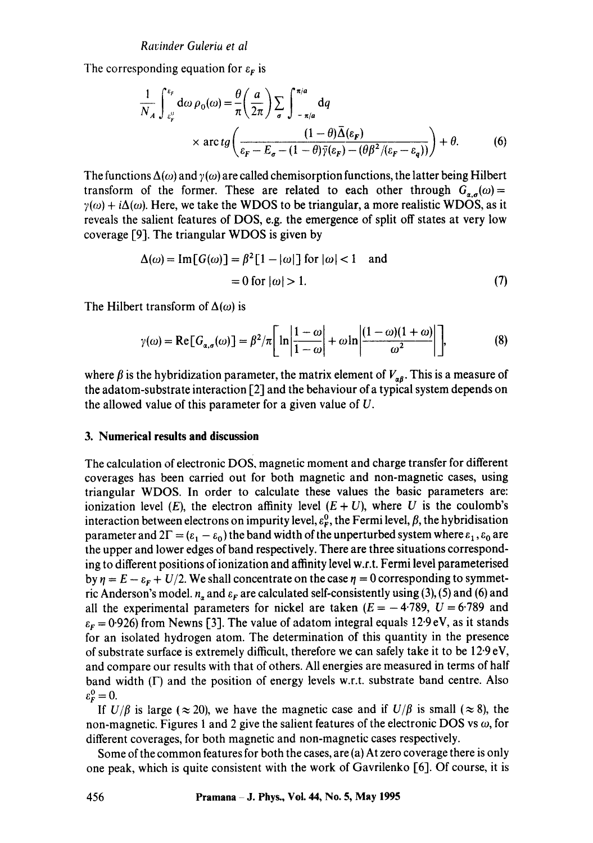The corresponding equation for  $\varepsilon_F$  is

$$
\frac{1}{N_A} \int_{\varepsilon_F^0}^{\varepsilon_F} d\omega \rho_0(\omega) = \frac{\theta}{\pi} \left( \frac{a}{2\pi} \right) \sum_{\sigma} \int_{-\pi/a}^{\pi/a} dq
$$
\n
$$
\times \arctg \left( \frac{(1-\theta)\bar{\Delta}(\varepsilon_F)}{\varepsilon_F - E_{\sigma} - (1-\theta)\bar{\gamma}(\varepsilon_F) - (\theta \beta^2/(\varepsilon_F - \varepsilon_q))} \right) + \theta. \tag{6}
$$

The functions  $\Delta(\omega)$  and  $\gamma(\omega)$  are called chemisorption functions, the latter being Hilbert transform of the former. These are related to each other through  $G_{a}(\omega)$  =  $\gamma(\omega) + i\Delta(\omega)$ . Here, we take the WDOS to be triangular, a more realistic WDOS, as it reveals the salient features of DOS, e.g. the emergence of split off states at very low coverage [9]. The triangular WDOS is given by

$$
\Delta(\omega) = \text{Im}[G(\omega)] = \beta^2 [1 - |\omega|] \text{ for } |\omega| < 1 \quad \text{and}
$$

$$
= 0 \text{ for } |\omega| > 1. \tag{7}
$$

The Hilbert transform of  $\Delta(\omega)$  is

$$
\gamma(\omega) = \text{Re}[G_{\alpha,\sigma}(\omega)] = \beta^2/\pi \left[ \ln \left| \frac{1-\omega}{1-\omega} \right| + \omega \ln \left| \frac{(1-\omega)(1+\omega)}{\omega^2} \right| \right],\tag{8}
$$

where  $\beta$  is the hybridization parameter, the matrix element of  $V_{\alpha\beta}$ . This is a measure of the adatom-substrate interaction [2] and the behaviour of a typical system depends on the allowed value of this parameter for a given value of U.

#### **3. Numerical results and discussion**

The calculation of electronic DOS, magnetic moment and charge transfer for different coverages has been carried out for both magnetic and non-magnetic cases, using triangular WDOS. In order to calculate these values the basic parameters are: ionization level (E), the electron affinity level  $(E + U)$ , where U is the coulomb's interaction between electrons on impurity level,  $\varepsilon_{\rm F}^0$ , the Fermi level,  $\beta$ , the hybridisation parameter and  $2\Gamma = (\varepsilon_1 - \varepsilon_0)$  the band width of the unperturbed system where  $\varepsilon_1, \varepsilon_0$  are the upper and lower edges of band respectively. There are three situations corresponding to different positions of ionization and affinity level w.r.t. Fermi level parameterised by  $\eta = E - \varepsilon_F + U/2$ . We shall concentrate on the case  $\eta = 0$  corresponding to symmetric Anderson's model,  $n_a$  and  $\varepsilon_F$  are calculated self-consistently using (3), (5) and (6) and all the experimental parameters for nickel are taken ( $E = -4.789$ ,  $U = 6.789$  and  $\varepsilon_F$  = 0.926) from Newns [3]. The value of adatom integral equals 12.9 eV, as it stands for an isolated hydrogen atom. The determination of this quantity in the presence of substrate surface is extremely difficult, therefore we can safely take it to be 12.9 eV, and compare our results with that of others. All energies are measured in terms of half band width  $(\Gamma)$  and the position of energy levels w.r.t. substrate band centre. Also  $\varepsilon_{\rm F}^0=0.$ 

If  $U/\beta$  is large ( $\approx 20$ ), we have the magnetic case and if  $U/\beta$  is small ( $\approx 8$ ), the non-magnetic. Figures 1 and 2 give the salient features of the electronic DOS vs  $\omega$ , for different coverages, for both magnetic and non-magnetic cases respectively.

Some of the common features for both the cases, are (a) At zero coverage there is only one peak, which is quite consistent with the work of Gavrilenko [6]. Of course, it is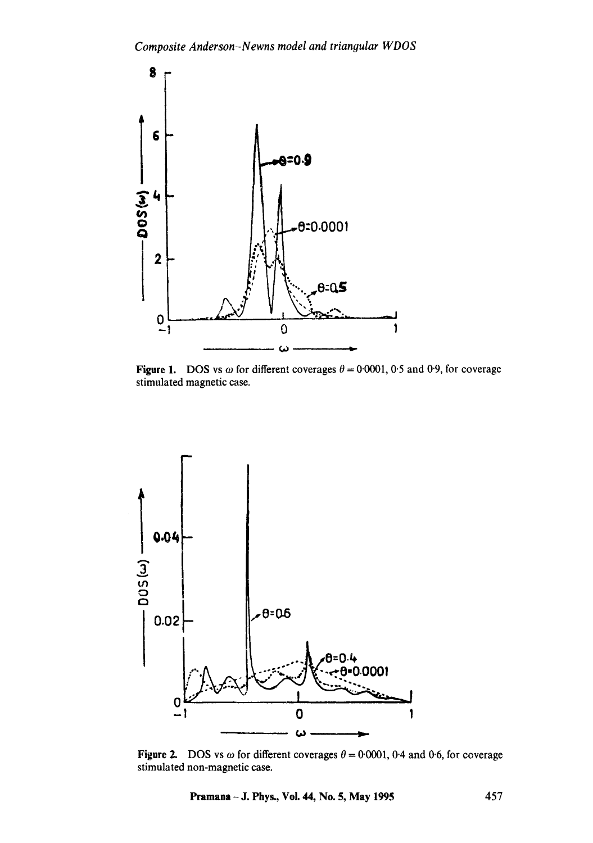

Figure 1. DOS vs  $\omega$  for different coverages  $\theta = 0.0001$ , 0.5 and 0.9, for coverage stimulated magnetic case.



Figure 2. DOS vs  $\omega$  for different coverages  $\theta = 0.0001$ , 0.4 and 0.6, for coverage stimulated non-magnetic case.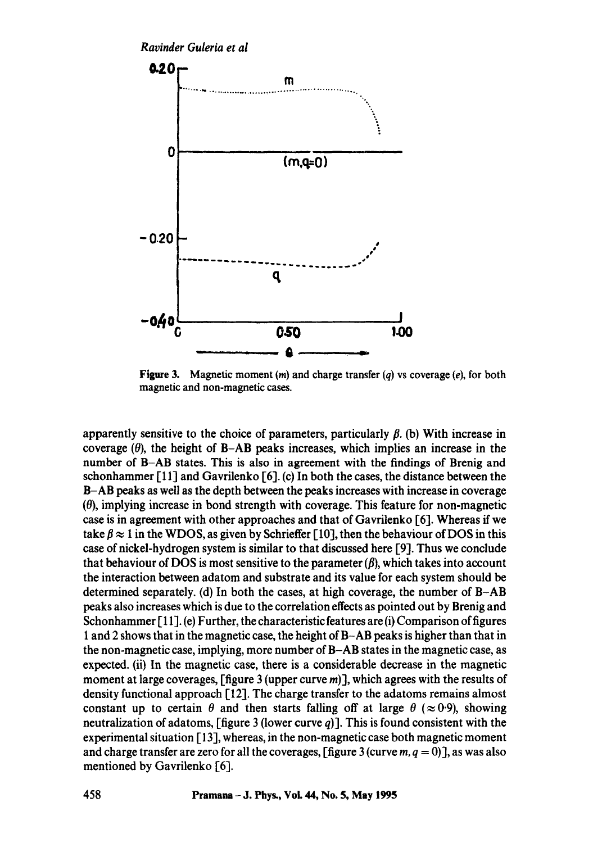*Ravinder Guleria et al* 



**Figure 3.** Magnetic moment  $(m)$  and charge transfer  $(q)$  vs coverage  $(e)$ , for both magnetic and non-magnetic cases.

apparently sensitive to the choice of parameters, particularly  $\beta$ . (b) With increase in coverage  $(\theta)$ , the height of B-AB peaks increases, which implies an increase in the number of B-AB states. This is also in agreement with the findings of Brenig and schonhammer [11] and Gavrilenko [6]. (c) In both the cases, the distance between the B-AB peaks as well as the depth between the peaks increases with increase in coverage  $(0)$ , implying increase in bond strength with coverage. This feature for non-magnetic case is in agreement with other approaches and that of Gavrilenko [6]. Whereas if we take  $\beta \approx 1$  in the WDOS, as given by Schrieffer [10], then the behaviour of DOS in this case of nickel-hydrogen system is similar to that discussed here [9]. Thus we conclude that behaviour of DOS is most sensitive to the parameter  $(\beta)$ , which takes into account the interaction between adatom and substrate and its value for each system should be determined separately. (d) In both the cases, at high coverage, the number of B-AB peaks also increases which is due to the correlation effects as pointed out by Brenig and Schonhammer  $[11]$ . (e) Further, the characteristic features are (i) Comparison of figures 1 and 2 shows that in the magnetic case, the height of B-AB peaks is higher than that in the non-magnetic case, implying, more number of B-AB states in the magnetic case, as expected. (ii) In the magnetic case, there is a considerable decrease in the magnetic moment at large coverages,  $[\text{figure } 3 \text{ (upper curve } m]$ , which agrees with the results of density functional approach 112]. The charge transfer to the adatoms remains almost constant up to certain  $\theta$  and then starts falling off at large  $\theta$  ( $\approx$  0.9), showing neutralization of adatoms, [figure 3 (lower curve  $q$ )]. This is found consistent with the experimental situation [13], whereas, in the non-magnetic case both magnetic moment and charge transfer are zero for all the coverages,  $[\text{figure 3}(\text{curve } m, q = 0)]$ , as was also mentioned by Gavrilenko [6].